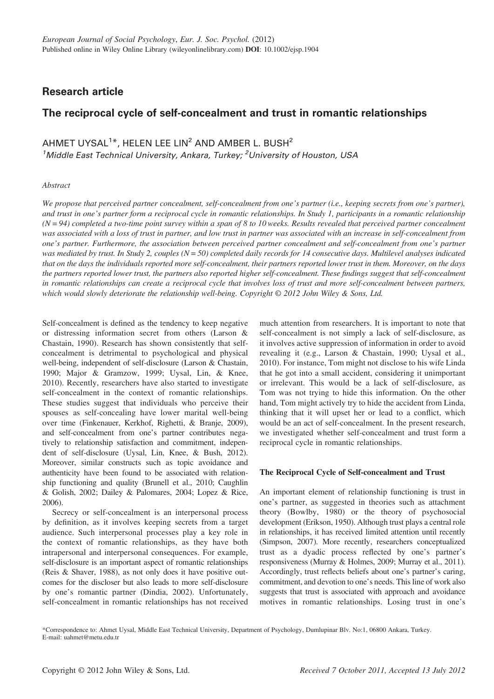# Research article

# The reciprocal cycle of self-concealment and trust in romantic relationships

AHMET UYSAL<sup>1\*</sup>, HELEN LEE LIN<sup>2</sup> AND AMBER L. BUSH<sup>2</sup> <sup>1</sup> Middle East Technical University, Ankara, Turkey: <sup>2</sup> University of Houston, USA

# Abstract

We propose that perceived partner concealment, self-concealment from one's partner (i.e., keeping secrets from one's partner), and trust in one's partner form a reciprocal cycle in romantic relationships. In Study 1, participants in a romantic relationship  $(N = 94)$  completed a two-time point survey within a span of 8 to 10 weeks. Results revealed that perceived partner concealment was associated with a loss of trust in partner, and low trust in partner was associated with an increase in self-concealment from one's partner. Furthermore, the association between perceived partner concealment and self-concealment from one's partner was mediated by trust. In Study 2, couples  $(N = 50)$  completed daily records for 14 consecutive days. Multilevel analyses indicated that on the days the individuals reported more self-concealment, their partners reported lower trust in them. Moreover, on the days the partners reported lower trust, the partners also reported higher self-concealment. These findings suggest that self-concealment in romantic relationships can create a reciprocal cycle that involves loss of trust and more self-concealment between partners, which would slowly deteriorate the relationship well-being. Copyright © 2012 John Wiley & Sons, Ltd.

Self-concealment is defined as the tendency to keep negative or distressing information secret from others (Larson & Chastain, 1990). Research has shown consistently that selfconcealment is detrimental to psychological and physical well-being, independent of self-disclosure (Larson & Chastain, 1990; Major & Gramzow, 1999; Uysal, Lin, & Knee, 2010). Recently, researchers have also started to investigate self-concealment in the context of romantic relationships. These studies suggest that individuals who perceive their spouses as self-concealing have lower marital well-being over time (Finkenauer, Kerkhof, Righetti, & Branje, 2009), and self-concealment from one's partner contributes negatively to relationship satisfaction and commitment, independent of self-disclosure (Uysal, Lin, Knee, & Bush, 2012). Moreover, similar constructs such as topic avoidance and authenticity have been found to be associated with relationship functioning and quality (Brunell et al., 2010; Caughlin & Golish, 2002; Dailey & Palomares, 2004; Lopez & Rice, 2006).

Secrecy or self-concealment is an interpersonal process by definition, as it involves keeping secrets from a target audience. Such interpersonal processes play a key role in the context of romantic relationships, as they have both intrapersonal and interpersonal consequences. For example, self-disclosure is an important aspect of romantic relationships (Reis & Shaver, 1988), as not only does it have positive outcomes for the discloser but also leads to more self-disclosure by one's romantic partner (Dindia, 2002). Unfortunately, self-concealment in romantic relationships has not received much attention from researchers. It is important to note that self-concealment is not simply a lack of self-disclosure, as it involves active suppression of information in order to avoid revealing it (e.g., Larson & Chastain, 1990; Uysal et al., 2010). For instance, Tom might not disclose to his wife Linda that he got into a small accident, considering it unimportant or irrelevant. This would be a lack of self-disclosure, as Tom was not trying to hide this information. On the other hand, Tom might actively try to hide the accident from Linda, thinking that it will upset her or lead to a conflict, which would be an act of self-concealment. In the present research, we investigated whether self-concealment and trust form a reciprocal cycle in romantic relationships.

# The Reciprocal Cycle of Self-concealment and Trust

An important element of relationship functioning is trust in one's partner, as suggested in theories such as attachment theory (Bowlby, 1980) or the theory of psychosocial development (Erikson, 1950). Although trust plays a central role in relationships, it has received limited attention until recently (Simpson, 2007). More recently, researchers conceptualized trust as a dyadic process reflected by one's partner's responsiveness (Murray & Holmes, 2009; Murray et al., 2011). Accordingly, trust reflects beliefs about one's partner's caring, commitment, and devotion to one's needs. This line of work also suggests that trust is associated with approach and avoidance motives in romantic relationships. Losing trust in one's

\*Correspondence to: Ahmet Uysal, Middle East Technical University, Department of Psychology, Dumlupinar Blv. No:1, 06800 Ankara, Turkey. E-mail: uahmet@metu.edu.tr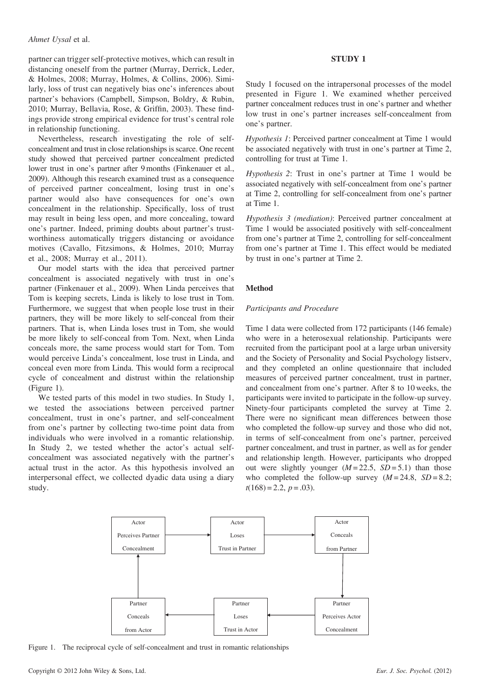partner can trigger self-protective motives, which can result in distancing oneself from the partner (Murray, Derrick, Leder, & Holmes, 2008; Murray, Holmes, & Collins, 2006). Similarly, loss of trust can negatively bias one's inferences about partner's behaviors (Campbell, Simpson, Boldry, & Rubin, 2010; Murray, Bellavia, Rose, & Griffin, 2003). These findings provide strong empirical evidence for trust's central role in relationship functioning.

Nevertheless, research investigating the role of selfconcealment and trust in close relationships is scarce. One recent study showed that perceived partner concealment predicted lower trust in one's partner after 9 months (Finkenauer et al., 2009). Although this research examined trust as a consequence of perceived partner concealment, losing trust in one's partner would also have consequences for one's own concealment in the relationship. Specifically, loss of trust may result in being less open, and more concealing, toward one's partner. Indeed, priming doubts about partner's trustworthiness automatically triggers distancing or avoidance motives (Cavallo, Fitzsimons, & Holmes, 2010; Murray et al., 2008; Murray et al., 2011).

Our model starts with the idea that perceived partner concealment is associated negatively with trust in one's partner (Finkenauer et al., 2009). When Linda perceives that Tom is keeping secrets, Linda is likely to lose trust in Tom. Furthermore, we suggest that when people lose trust in their partners, they will be more likely to self-conceal from their partners. That is, when Linda loses trust in Tom, she would be more likely to self-conceal from Tom. Next, when Linda conceals more, the same process would start for Tom. Tom would perceive Linda's concealment, lose trust in Linda, and conceal even more from Linda. This would form a reciprocal cycle of concealment and distrust within the relationship (Figure 1).

We tested parts of this model in two studies. In Study 1, we tested the associations between perceived partner concealment, trust in one's partner, and self-concealment from one's partner by collecting two-time point data from individuals who were involved in a romantic relationship. In Study 2, we tested whether the actor's actual selfconcealment was associated negatively with the partner's actual trust in the actor. As this hypothesis involved an interpersonal effect, we collected dyadic data using a diary study.

## STUDY 1

Study 1 focused on the intrapersonal processes of the model presented in Figure 1. We examined whether perceived partner concealment reduces trust in one's partner and whether low trust in one's partner increases self-concealment from one's partner.

Hypothesis 1: Perceived partner concealment at Time 1 would be associated negatively with trust in one's partner at Time 2, controlling for trust at Time 1.

Hypothesis 2: Trust in one's partner at Time 1 would be associated negatively with self-concealment from one's partner at Time 2, controlling for self-concealment from one's partner at Time 1.

Hypothesis 3 (mediation): Perceived partner concealment at Time 1 would be associated positively with self-concealment from one's partner at Time 2, controlling for self-concealment from one's partner at Time 1. This effect would be mediated by trust in one's partner at Time 2.

### Method

### Participants and Procedure

Time 1 data were collected from 172 participants (146 female) who were in a heterosexual relationship. Participants were recruited from the participant pool at a large urban university and the Society of Personality and Social Psychology listserv, and they completed an online questionnaire that included measures of perceived partner concealment, trust in partner, and concealment from one's partner. After 8 to 10 weeks, the participants were invited to participate in the follow-up survey. Ninety-four participants completed the survey at Time 2. There were no significant mean differences between those who completed the follow-up survey and those who did not, in terms of self-concealment from one's partner, perceived partner concealment, and trust in partner, as well as for gender and relationship length. However, participants who dropped out were slightly younger  $(M = 22.5, SD = 5.1)$  than those who completed the follow-up survey  $(M = 24.8, SD = 8.2;$  $t(168) = 2.2, p = .03$ .



Figure 1. The reciprocal cycle of self-concealment and trust in romantic relationships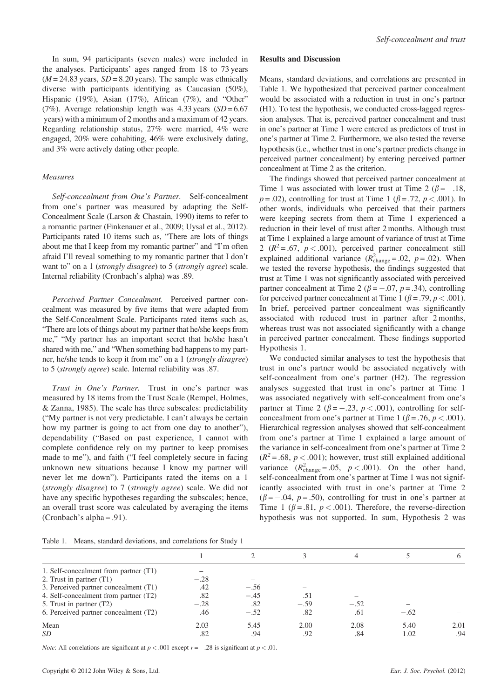In sum, 94 participants (seven males) were included in the analyses. Participants' ages ranged from 18 to 73 years  $(M = 24.83$  years,  $SD = 8.20$  years). The sample was ethnically diverse with participants identifying as Caucasian (50%), Hispanic (19%), Asian (17%), African (7%), and "Other" (7%). Average relationship length was  $4.33$  years (SD = 6.67) years) with a minimum of 2 months and a maximum of 42 years. Regarding relationship status, 27% were married, 4% were engaged, 20% were cohabiting, 46% were exclusively dating, and 3% were actively dating other people.

### Measures

Self-concealment from One's Partner. Self-concealment from one's partner was measured by adapting the Self-Concealment Scale (Larson & Chastain, 1990) items to refer to a romantic partner (Finkenauer et al., 2009; Uysal et al., 2012). Participants rated 10 items such as, "There are lots of things about me that I keep from my romantic partner" and "I'm often afraid I'll reveal something to my romantic partner that I don't want to" on a 1 (strongly disagree) to 5 (strongly agree) scale. Internal reliability (Cronbach's alpha) was .89.

Perceived Partner Concealment. Perceived partner concealment was measured by five items that were adapted from the Self-Concealment Scale. Participants rated items such as, "There are lots of things about my partner that he/she keeps from me," "My partner has an important secret that he/she hasn't shared with me," and "When something bad happens to my partner, he/she tends to keep it from me" on a 1 (strongly disagree) to 5 (strongly agree) scale. Internal reliability was .87.

Trust in One's Partner. Trust in one's partner was measured by 18 items from the Trust Scale (Rempel, Holmes, & Zanna, 1985). The scale has three subscales: predictability ("My partner is not very predictable. I can't always be certain how my partner is going to act from one day to another"), dependability ("Based on past experience, I cannot with complete confidence rely on my partner to keep promises made to me"), and faith ("I feel completely secure in facing unknown new situations because I know my partner will never let me down"). Participants rated the items on a 1 (strongly disagree) to 7 (strongly agree) scale. We did not have any specific hypotheses regarding the subscales; hence, an overall trust score was calculated by averaging the items (Cronbach's alpha = .91).

## Results and Discussion

Means, standard deviations, and correlations are presented in Table 1. We hypothesized that perceived partner concealment would be associated with a reduction in trust in one's partner (H1). To test the hypothesis, we conducted cross-lagged regression analyses. That is, perceived partner concealment and trust in one's partner at Time 1 were entered as predictors of trust in one's partner at Time 2. Furthermore, we also tested the reverse hypothesis (i.e., whether trust in one's partner predicts change in perceived partner concealment) by entering perceived partner concealment at Time 2 as the criterion.

The findings showed that perceived partner concealment at Time 1 was associated with lower trust at Time 2 ( $\beta = -.18$ ,  $p = .02$ ), controlling for trust at Time 1 ( $\beta = .72$ ,  $p < .001$ ). In other words, individuals who perceived that their partners were keeping secrets from them at Time 1 experienced a reduction in their level of trust after 2 months. Although trust at Time 1 explained a large amount of variance of trust at Time 2 ( $R^2 = .67$ ,  $p < .001$ ), perceived partner concealment still explained additional variance  $(R_{change}^2 = .02, p = .02)$ . When we tested the reverse hypothesis, the findings suggested that trust at Time 1 was not significantly associated with perceived partner concealment at Time 2 ( $\beta$  = -.07, p = .34), controlling for perceived partner concealment at Time 1 ( $\beta$  = .79,  $p$  < .001). In brief, perceived partner concealment was significantly associated with reduced trust in partner after 2 months, whereas trust was not associated significantly with a change in perceived partner concealment. These findings supported Hypothesis 1.

We conducted similar analyses to test the hypothesis that trust in one's partner would be associated negatively with self-concealment from one's partner (H2). The regression analyses suggested that trust in one's partner at Time 1 was associated negatively with self-concealment from one's partner at Time 2 ( $\beta$  = -.23,  $p$  < .001), controlling for selfconcealment from one's partner at Time 1 ( $\beta$  = .76,  $p$  < .001). Hierarchical regression analyses showed that self-concealment from one's partner at Time 1 explained a large amount of the variance in self-concealment from one's partner at Time 2  $(R^2 = .68, p < .001)$ ; however, trust still explained additional variance  $(R_{change}^2 = .05, p < .001)$ . On the other hand, self-concealment from one's partner at Time 1 was not significantly associated with trust in one's partner at Time 2  $(\beta = -.04, p = .50)$ , controlling for trust in one's partner at Time 1 ( $\beta$  = .81,  $p < .001$ ). Therefore, the reverse-direction hypothesis was not supported. In sum, Hypothesis 2 was

Table 1. Means, standard deviations, and correlations for Study 1

|        |        |        | 4                        |        | <sub>0</sub> |
|--------|--------|--------|--------------------------|--------|--------------|
|        |        |        |                          |        |              |
| $-.28$ |        |        |                          |        |              |
| .42    | $-.56$ |        |                          |        |              |
| .82    | $-.45$ | .51    | $\overline{\phantom{0}}$ |        |              |
| $-.28$ | .82    | $-.59$ | $-.52$                   |        |              |
| .46    | $-.52$ | .82    | .61                      | $-.62$ |              |
| 2.03   | 5.45   | 2.00   | 2.08                     | 5.40   | 2.01         |
| .82    | .94    | .92    | .84                      | 1.02   | .94          |
|        |        |        |                          |        |              |

*Note*: All correlations are significant at  $p < .001$  except  $r = -.28$  is significant at  $p < .01$ .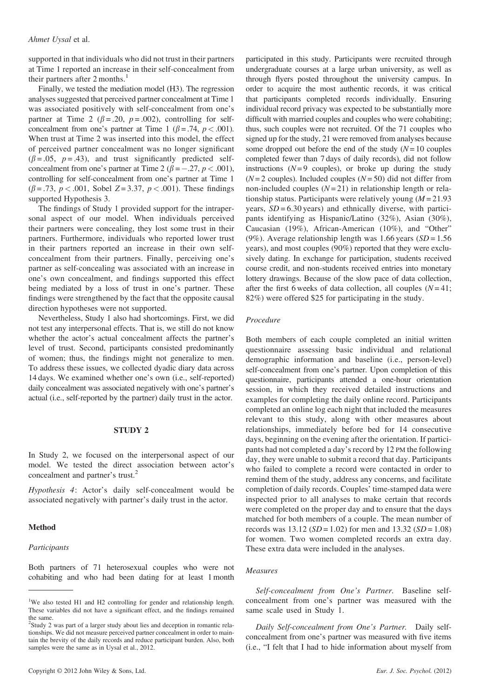supported in that individuals who did not trust in their partners at Time 1 reported an increase in their self-concealment from their partners after 2 months.<sup>1</sup>

Finally, we tested the mediation model (H3). The regression analyses suggested that perceived partner concealment at Time 1 was associated positively with self-concealment from one's partner at Time 2 ( $\beta$  = .20,  $p$  = .002), controlling for selfconcealment from one's partner at Time 1 ( $\beta$  = .74, p < .001). When trust at Time 2 was inserted into this model, the effect of perceived partner concealment was no longer significant  $(\beta = .05, p = .43)$ , and trust significantly predicted selfconcealment from one's partner at Time 2 ( $\beta = -.27$ ,  $p < .001$ ), controlling for self-concealment from one's partner at Time 1  $(\beta = .73, p < .001,$  Sobel  $Z = 3.37, p < .001$ . These findings supported Hypothesis 3.

The findings of Study 1 provided support for the intrapersonal aspect of our model. When individuals perceived their partners were concealing, they lost some trust in their partners. Furthermore, individuals who reported lower trust in their partners reported an increase in their own selfconcealment from their partners. Finally, perceiving one's partner as self-concealing was associated with an increase in one's own concealment, and findings supported this effect being mediated by a loss of trust in one's partner. These findings were strengthened by the fact that the opposite causal direction hypotheses were not supported.

Nevertheless, Study 1 also had shortcomings. First, we did not test any interpersonal effects. That is, we still do not know whether the actor's actual concealment affects the partner's level of trust. Second, participants consisted predominantly of women; thus, the findings might not generalize to men. To address these issues, we collected dyadic diary data across 14 days. We examined whether one's own (i.e., self-reported) daily concealment was associated negatively with one's partner's actual (i.e., self-reported by the partner) daily trust in the actor.

### STUDY 2

In Study 2, we focused on the interpersonal aspect of our model. We tested the direct association between actor's concealment and partner's trust.<sup>2</sup>

Hypothesis 4: Actor's daily self-concealment would be associated negatively with partner's daily trust in the actor.

## Method

#### Participants

Both partners of 71 heterosexual couples who were not cohabiting and who had been dating for at least 1 month participated in this study. Participants were recruited through undergraduate courses at a large urban university, as well as through flyers posted throughout the university campus. In order to acquire the most authentic records, it was critical that participants completed records individually. Ensuring individual record privacy was expected to be substantially more difficult with married couples and couples who were cohabiting; thus, such couples were not recruited. Of the 71 couples who signed up for the study, 21 were removed from analyses because some dropped out before the end of the study  $(N=10$  couples completed fewer than 7 days of daily records), did not follow instructions  $(N=9$  couples), or broke up during the study  $(N= 2$  couples). Included couples  $(N = 50)$  did not differ from non-included couples  $(N=21)$  in relationship length or relationship status. Participants were relatively young  $(M = 21.93)$ years,  $SD = 6.30$  years) and ethnically diverse, with participants identifying as Hispanic/Latino (32%), Asian (30%), Caucasian (19%), African-American (10%), and "Other" (9%). Average relationship length was 1.66 years  $(SD = 1.56)$ years), and most couples (90%) reported that they were exclusively dating. In exchange for participation, students received course credit, and non-students received entries into monetary lottery drawings. Because of the slow pace of data collection, after the first 6 weeks of data collection, all couples  $(N = 41)$ ; 82%) were offered \$25 for participating in the study.

#### Procedure

Both members of each couple completed an initial written questionnaire assessing basic individual and relational demographic information and baseline (i.e., person-level) self-concealment from one's partner. Upon completion of this questionnaire, participants attended a one-hour orientation session, in which they received detailed instructions and examples for completing the daily online record. Participants completed an online log each night that included the measures relevant to this study, along with other measures about relationships, immediately before bed for 14 consecutive days, beginning on the evening after the orientation. If participants had not completed a day's record by 12 PM the following day, they were unable to submit a record that day. Participants who failed to complete a record were contacted in order to remind them of the study, address any concerns, and facilitate completion of daily records. Couples' time-stamped data were inspected prior to all analyses to make certain that records were completed on the proper day and to ensure that the days matched for both members of a couple. The mean number of records was  $13.12$  (SD = 1.02) for men and  $13.32$  (SD = 1.08) for women. Two women completed records an extra day. These extra data were included in the analyses.

## Measures

Self-concealment from One's Partner. Baseline selfconcealment from one's partner was measured with the same scale used in Study 1.

Daily Self-concealment from One's Partner. Daily selfconcealment from one's partner was measured with five items (i.e., "I felt that I had to hide information about myself from

<sup>&</sup>lt;sup>1</sup>We also tested H1 and H2 controlling for gender and relationship length. These variables did not have a significant effect, and the findings remained the same.

<sup>&</sup>lt;sup>2</sup>Study 2 was part of a larger study about lies and deception in romantic relationships. We did not measure perceived partner concealment in order to maintain the brevity of the daily records and reduce participant burden. Also, both samples were the same as in Uysal et al., 2012.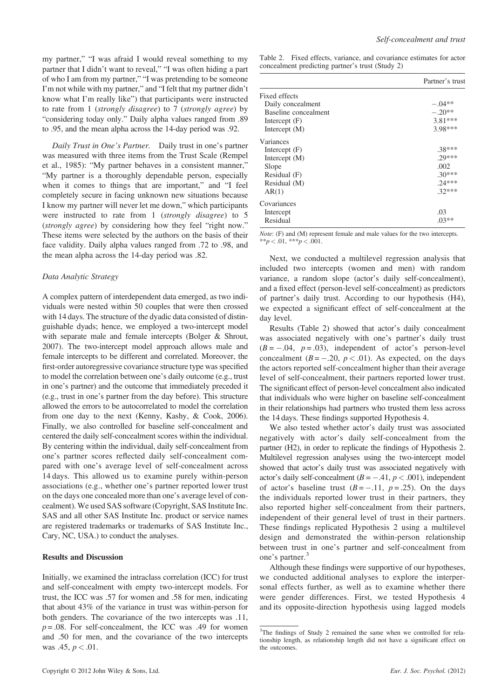my partner," "I was afraid I would reveal something to my partner that I didn't want to reveal," "I was often hiding a part of who I am from my partner," "I was pretending to be someone I'm not while with my partner," and "I felt that my partner didn't know what I'm really like") that participants were instructed to rate from 1 (strongly disagree) to 7 (strongly agree) by "considering today only." Daily alpha values ranged from .89 to .95, and the mean alpha across the 14-day period was .92.

Daily Trust in One's Partner. Daily trust in one's partner was measured with three items from the Trust Scale (Rempel et al., 1985): "My partner behaves in a consistent manner," "My partner is a thoroughly dependable person, especially when it comes to things that are important," and "I feel completely secure in facing unknown new situations because I know my partner will never let me down," which participants were instructed to rate from 1 (strongly disagree) to 5 (strongly agree) by considering how they feel "right now." These items were selected by the authors on the basis of their face validity. Daily alpha values ranged from .72 to .98, and the mean alpha across the 14-day period was .82.

## Data Analytic Strategy

A complex pattern of interdependent data emerged, as two individuals were nested within 50 couples that were then crossed with 14 days. The structure of the dyadic data consisted of distinguishable dyads; hence, we employed a two-intercept model with separate male and female intercepts (Bolger & Shrout, 2007). The two-intercept model approach allows male and female intercepts to be different and correlated. Moreover, the first-order autoregressive covariance structure type was specified to model the correlation between one's daily outcome (e.g., trust in one's partner) and the outcome that immediately preceded it (e.g., trust in one's partner from the day before). This structure allowed the errors to be autocorrelated to model the correlation from one day to the next (Kenny, Kashy, & Cook, 2006). Finally, we also controlled for baseline self-concealment and centered the daily self-concealment scores within the individual. By centering within the individual, daily self-concealment from one's partner scores reflected daily self-concealment compared with one's average level of self-concealment across 14 days. This allowed us to examine purely within-person associations (e.g., whether one's partner reported lower trust on the days one concealed more than one's average level of concealment). We used SAS software (Copyright, SAS Institute Inc. SAS and all other SAS Institute Inc. product or service names are registered trademarks or trademarks of SAS Institute Inc., Cary, NC, USA.) to conduct the analyses.

## Results and Discussion

Initially, we examined the intraclass correlation (ICC) for trust and self-concealment with empty two-intercept models. For trust, the ICC was .57 for women and .58 for men, indicating that about 43% of the variance in trust was within-person for both genders. The covariance of the two intercepts was .11,  $p = .08$ . For self-concealment, the ICC was .49 for women and .50 for men, and the covariance of the two intercepts was .45,  $p < .01$ .

Table 2. Fixed effects, variance, and covariance estimates for actor concealment predicting partner's trust (Study 2)

|                      | Partner's trust |
|----------------------|-----------------|
| Fixed effects        |                 |
| Daily concealment    | $-.04**$        |
| Baseline concealment | $-.20**$        |
| Intercept $(F)$      | $3.81***$       |
| Intercept $(M)$      | 3.98***         |
| Variances            |                 |
| Intercept $(F)$      | $.38***$        |
| Intercept $(M)$      | $.29***$        |
| Slope                | .002            |
| Residual (F)         | $.30***$        |
| Residual (M)         | $.24***$        |
| AR(1)                | $.32***$        |
| Covariances          |                 |
| Intercept            | .03             |
| Residual             | $.03**$         |

Note: (F) and (M) represent female and male values for the two intercepts. \*\*p  $< 0.01$ , \*\*\*p  $< 0.001$ .

Next, we conducted a multilevel regression analysis that included two intercepts (women and men) with random variance, a random slope (actor's daily self-concealment), and a fixed effect (person-level self-concealment) as predictors of partner's daily trust. According to our hypothesis (H4), we expected a significant effect of self-concealment at the day level.

Results (Table 2) showed that actor's daily concealment was associated negatively with one's partner's daily trust  $(B = -.04, p = .03)$ , independent of actor's person-level concealment ( $B = -.20$ ,  $p < .01$ ). As expected, on the days the actors reported self-concealment higher than their average level of self-concealment, their partners reported lower trust. The significant effect of person-level concealment also indicated that individuals who were higher on baseline self-concealment in their relationships had partners who trusted them less across the 14 days. These findings supported Hypothesis 4.

We also tested whether actor's daily trust was associated negatively with actor's daily self-concealment from the partner (H2), in order to replicate the findings of Hypothesis 2. Multilevel regression analyses using the two-intercept model showed that actor's daily trust was associated negatively with actor's daily self-concealment  $(B = -.41, p < .001)$ , independent of actor's baseline trust  $(B = -.11, p = .25)$ . On the days the individuals reported lower trust in their partners, they also reported higher self-concealment from their partners, independent of their general level of trust in their partners. These findings replicated Hypothesis 2 using a multilevel design and demonstrated the within-person relationship between trust in one's partner and self-concealment from one's partner.<sup>3</sup>

Although these findings were supportive of our hypotheses, we conducted additional analyses to explore the interpersonal effects further, as well as to examine whether there were gender differences. First, we tested Hypothesis 4 and its opposite-direction hypothesis using lagged models

<sup>&</sup>lt;sup>3</sup>The findings of Study 2 remained the same when we controlled for relationship length, as relationship length did not have a significant effect on the outcomes.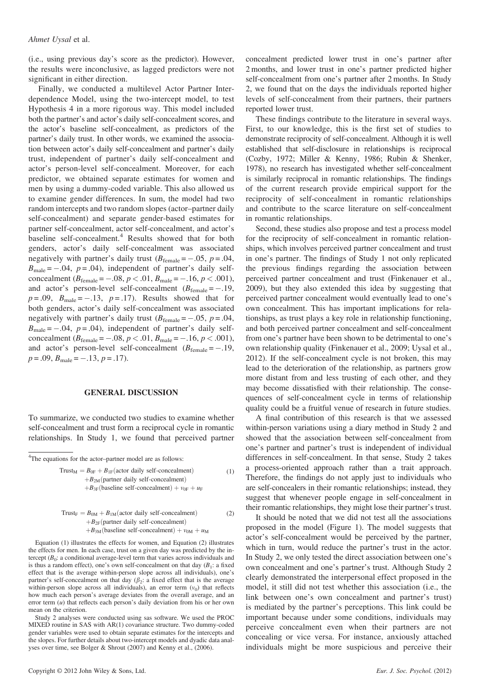(i.e., using previous day's score as the predictor). However, the results were inconclusive, as lagged predictors were not significant in either direction.

Finally, we conducted a multilevel Actor Partner Interdependence Model, using the two-intercept model, to test Hypothesis 4 in a more rigorous way. This model included both the partner's and actor's daily self-concealment scores, and the actor's baseline self-concealment, as predictors of the partner's daily trust. In other words, we examined the association between actor's daily self-concealment and partner's daily trust, independent of partner's daily self-concealment and actor's person-level self-concealment. Moreover, for each predictor, we obtained separate estimates for women and men by using a dummy-coded variable. This also allowed us to examine gender differences. In sum, the model had two random intercepts and two random slopes (actor–partner daily self-concealment) and separate gender-based estimates for partner self-concealment, actor self-concealment, and actor's baseline self-concealment.<sup>4</sup> Results showed that for both genders, actor's daily self-concealment was associated negatively with partner's daily trust  $(B_{\text{female}} = -.05, p = .04,$  $B_{\text{male}} = -.04$ ,  $p = .04$ ), independent of partner's daily selfconcealment ( $B_{\text{female}} = -.08, p < .01, B_{\text{male}} = -.16, p < .001$ ), and actor's person-level self-concealment  $(B_{\text{female}} = -.19,$  $p = .09$ ,  $B_{\text{male}} = -.13$ ,  $p = .17$ ). Results showed that for both genders, actor's daily self-concealment was associated negatively with partner's daily trust  $(B_{\text{female}} = -.05, p = .04,$  $B_{\text{male}} = -.04$ ,  $p = .04$ ), independent of partner's daily selfconcealment  $(B_{\text{female}} = -.08, p < .01, B_{\text{male}} = -.16, p < .001)$ , and actor's person-level self-concealment  $(B_{\text{female}} = -.19,$  $p = .09$ ,  $B_{\text{male}} = -.13$ ,  $p = .17$ ).

#### GENERAL DISCUSSION

To summarize, we conducted two studies to examine whether self-concealment and trust form a reciprocal cycle in romantic relationships. In Study 1, we found that perceived partner

<sup>4</sup>The equations for the actor-partner model are as follows:

$$
Trust_{M} = B_{0F} + B_{1F} (actor daily self-concealment)
$$
  
+
$$
B_{2M} (partner daily self-concealment)
$$
  
+
$$
B_{3F} (baseline self-concealment) + v_{0F} + u_F
$$

$$
Trust_F = B_{0M} + B_{1M} (actor daily self-concealment)
$$
  
+
$$
B_{2F} (partner daily self-concealment)
$$
  
+
$$
B_{3M} (baseline self-concealment) + v_{0M} + u_M
$$

Equation (1) illustrates the effects for women, and Equation (2) illustrates the effects for men. In each case, trust on a given day was predicted by the intercept  $(B_0: a$  conditional average-level term that varies across individuals and is thus a random effect), one's own self-concealment on that day  $(B_1: a$  fixed effect that is the average within-person slope across all individuals), one's partner's self-concealment on that day  $(\beta_2)$ : a fixed effect that is the average within-person slope across all individuals), an error term  $(v_0)$  that reflects how much each person's average deviates from the overall average, and an error term (u) that reflects each person's daily deviation from his or her own mean on the criterion.

Study 2 analyses were conducted using sas software. We used the PROC MIXED routine in SAS with AR(1) covariance structure. Two dummy-coded gender variables were used to obtain separate estimates for the intercepts and the slopes. For further details about two-intercept models and dyadic data analyses over time, see Bolger & Shrout (2007) and Kenny et al., (2006).

concealment predicted lower trust in one's partner after 2 months, and lower trust in one's partner predicted higher self-concealment from one's partner after 2 months. In Study 2, we found that on the days the individuals reported higher levels of self-concealment from their partners, their partners reported lower trust.

These findings contribute to the literature in several ways. First, to our knowledge, this is the first set of studies to demonstrate reciprocity of self-concealment. Although it is well established that self-disclosure in relationships is reciprocal (Cozby, 1972; Miller & Kenny, 1986; Rubin & Shenker, 1978), no research has investigated whether self-concealment is similarly reciprocal in romantic relationships. The findings of the current research provide empirical support for the reciprocity of self-concealment in romantic relationships and contribute to the scarce literature on self-concealment in romantic relationships.

Second, these studies also propose and test a process model for the reciprocity of self-concealment in romantic relationships, which involves perceived partner concealment and trust in one's partner. The findings of Study 1 not only replicated the previous findings regarding the association between perceived partner concealment and trust (Finkenauer et al., 2009), but they also extended this idea by suggesting that perceived partner concealment would eventually lead to one's own concealment. This has important implications for relationships, as trust plays a key role in relationship functioning, and both perceived partner concealment and self-concealment from one's partner have been shown to be detrimental to one's own relationship quality (Finkenauer et al., 2009; Uysal et al., 2012). If the self-concealment cycle is not broken, this may lead to the deterioration of the relationship, as partners grow more distant from and less trusting of each other, and they may become dissatisfied with their relationship. The consequences of self-concealment cycle in terms of relationship quality could be a fruitful venue of research in future studies.

A final contribution of this research is that we assessed within-person variations using a diary method in Study 2 and showed that the association between self-concealment from one's partner and partner's trust is independent of individual differences in self-concealment. In that sense, Study 2 takes a process-oriented approach rather than a trait approach. Therefore, the findings do not apply just to individuals who are self-concealers in their romantic relationships; instead, they suggest that whenever people engage in self-concealment in their romantic relationships, they might lose their partner's trust.

It should be noted that we did not test all the associations proposed in the model (Figure 1). The model suggests that actor's self-concealment would be perceived by the partner, which in turn, would reduce the partner's trust in the actor. In Study 2, we only tested the direct association between one's own concealment and one's partner's trust. Although Study 2 clearly demonstrated the interpersonal effect proposed in the model, it still did not test whether this association (i.e., the link between one's own concealment and partner's trust) is mediated by the partner's perceptions. This link could be important because under some conditions, individuals may perceive concealment even when their partners are not concealing or vice versa. For instance, anxiously attached individuals might be more suspicious and perceive their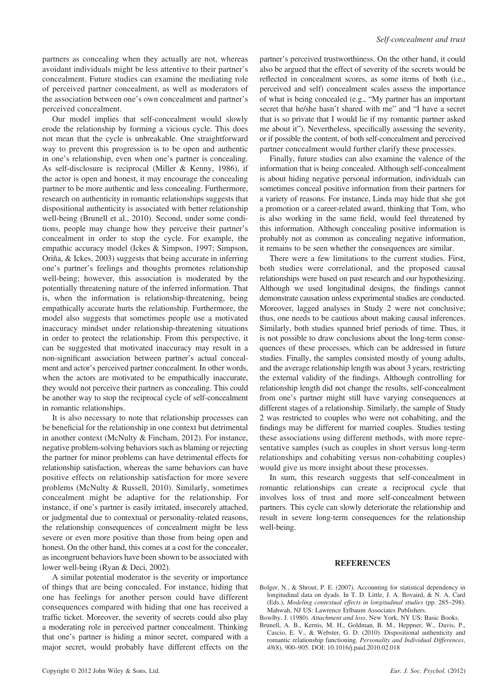partners as concealing when they actually are not, whereas avoidant individuals might be less attentive to their partner's concealment. Future studies can examine the mediating role of perceived partner concealment, as well as moderators of the association between one's own concealment and partner's perceived concealment.

Our model implies that self-concealment would slowly erode the relationship by forming a vicious cycle. This does not mean that the cycle is unbreakable. One straightforward way to prevent this progression is to be open and authentic in one's relationship, even when one's partner is concealing. As self-disclosure is reciprocal (Miller & Kenny, 1986), if the actor is open and honest, it may encourage the concealing partner to be more authentic and less concealing. Furthermore, research on authenticity in romantic relationships suggests that dispositional authenticity is associated with better relationship well-being (Brunell et al., 2010). Second, under some conditions, people may change how they perceive their partner's concealment in order to stop the cycle. For example, the empathic accuracy model (Ickes & Simpson, 1997; Simpson, Oriña, & Ickes, 2003) suggests that being accurate in inferring one's partner's feelings and thoughts promotes relationship well-being; however, this association is moderated by the potentially threatening nature of the inferred information. That is, when the information is relationship-threatening, being empathically accurate hurts the relationship. Furthermore, the model also suggests that sometimes people use a motivated inaccuracy mindset under relationship-threatening situations in order to protect the relationship. From this perspective, it can be suggested that motivated inaccuracy may result in a non-significant association between partner's actual concealment and actor's perceived partner concealment. In other words, when the actors are motivated to be empathically inaccurate, they would not perceive their partners as concealing. This could be another way to stop the reciprocal cycle of self-concealment in romantic relationships.

It is also necessary to note that relationship processes can be beneficial for the relationship in one context but detrimental in another context (McNulty & Fincham, 2012). For instance, negative problem-solving behaviors such as blaming or rejecting the partner for minor problems can have detrimental effects for relationship satisfaction, whereas the same behaviors can have positive effects on relationship satisfaction for more severe problems (McNulty & Russell, 2010). Similarly, sometimes concealment might be adaptive for the relationship. For instance, if one's partner is easily irritated, insecurely attached, or judgmental due to contextual or personality-related reasons, the relationship consequences of concealment might be less severe or even more positive than those from being open and honest. On the other hand, this comes at a cost for the concealer, as incongruent behaviors have been shown to be associated with lower well-being (Ryan & Deci, 2002).

A similar potential moderator is the severity or importance of things that are being concealed. For instance, hiding that one has feelings for another person could have different consequences compared with hiding that one has received a traffic ticket. Moreover, the severity of secrets could also play a moderating role in perceived partner concealment. Thinking that one's partner is hiding a minor secret, compared with a major secret, would probably have different effects on the

partner's perceived trustworthiness. On the other hand, it could also be argued that the effect of severity of the secrets would be reflected in concealment scores, as some items of both (i.e., perceived and self) concealment scales assess the importance of what is being concealed (e.g., "My partner has an important secret that he/she hasn't shared with me" and "I have a secret that is so private that I would lie if my romantic partner asked me about it"). Nevertheless, specifically assessing the severity, or if possible the content, of both self-concealment and perceived partner concealment would further clarify these processes.

Finally, future studies can also examine the valence of the information that is being concealed. Although self-concealment is about hiding negative personal information, individuals can sometimes conceal positive information from their partners for a variety of reasons. For instance, Linda may hide that she got a promotion or a career-related award, thinking that Tom, who is also working in the same field, would feel threatened by this information. Although concealing positive information is probably not as common as concealing negative information, it remains to be seen whether the consequences are similar.

There were a few limitations to the current studies. First, both studies were correlational, and the proposed causal relationships were based on past research and our hypothesizing. Although we used longitudinal designs, the findings cannot demonstrate causation unless experimental studies are conducted. Moreover, lagged analyses in Study 2 were not conclusive; thus, one needs to be cautious about making causal inferences. Similarly, both studies spanned brief periods of time. Thus, it is not possible to draw conclusions about the long-term consequences of these processes, which can be addressed in future studies. Finally, the samples consisted mostly of young adults, and the average relationship length was about 3 years, restricting the external validity of the findings. Although controlling for relationship length did not change the results, self-concealment from one's partner might still have varying consequences at different stages of a relationship. Similarly, the sample of Study 2 was restricted to couples who were not cohabiting, and the findings may be different for married couples. Studies testing these associations using different methods, with more representative samples (such as couples in short versus long-term relationships and cohabiting versus non-cohabiting couples) would give us more insight about these processes.

In sum, this research suggests that self-concealment in romantic relationships can create a reciprocal cycle that involves loss of trust and more self-concealment between partners. This cycle can slowly deteriorate the relationship and result in severe long-term consequences for the relationship well-being.

#### **REFERENCES**

- Bolger, N., & Shrout, P. E. (2007). Accounting for statistical dependency in longitudinal data on dyads. In T. D. Little, J. A. Bovaird, & N. A. Card (Eds.), Modeling contextual effects in longitudinal studies (pp. 285–298). Mahwah, NJ US: Lawrence Erlbaum Associates Publishers.
- Bowlby, J. (1980). Attachment and loss. New York, NY US: Basic Books.
- Brunell, A. B., Kernis, M. H., Goldman, B. M., Heppner, W., Davis, P., Cascio, E. V., & Webster, G. D. (2010). Dispositional authenticity and romantic relationship functioning. Personality and Individual Differences, 48(8), 900–905. DOI: 10.1016/j.paid.2010.02.018